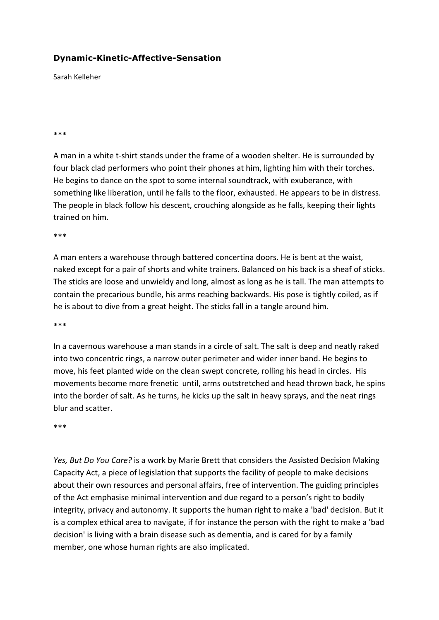## **Dynamic-Kinetic-Affective-Sensation**

Sarah Kelleher

## \*\*\*

A man in a white t-shirt stands under the frame of a wooden shelter. He is surrounded by four black clad performers who point their phones at him, lighting him with their torches. He begins to dance on the spot to some internal soundtrack, with exuberance, with something like liberation, until he falls to the floor, exhausted. He appears to be in distress. The people in black follow his descent, crouching alongside as he falls, keeping their lights trained on him.

\*\*\*

A man enters a warehouse through battered concertina doors. He is bent at the waist, naked except for a pair of shorts and white trainers. Balanced on his back is a sheaf of sticks. The sticks are loose and unwieldy and long, almost as long as he is tall. The man attempts to contain the precarious bundle, his arms reaching backwards. His pose is tightly coiled, as if he is about to dive from a great height. The sticks fall in a tangle around him.

## \*\*\*

In a cavernous warehouse a man stands in a circle of salt. The salt is deep and neatly raked into two concentric rings, a narrow outer perimeter and wider inner band. He begins to move, his feet planted wide on the clean swept concrete, rolling his head in circles. His movements become more frenetic until, arms outstretched and head thrown back, he spins into the border of salt. As he turns, he kicks up the salt in heavy sprays, and the neat rings blur and scatter.

\*\*\*

Yes, But Do You Care? is a work by Marie Brett that considers the Assisted Decision Making Capacity Act, a piece of legislation that supports the facility of people to make decisions about their own resources and personal affairs, free of intervention. The guiding principles of the Act emphasise minimal intervention and due regard to a person's right to bodily integrity, privacy and autonomy. It supports the human right to make a 'bad' decision. But it is a complex ethical area to navigate, if for instance the person with the right to make a 'bad decision' is living with a brain disease such as dementia, and is cared for by a family member, one whose human rights are also implicated.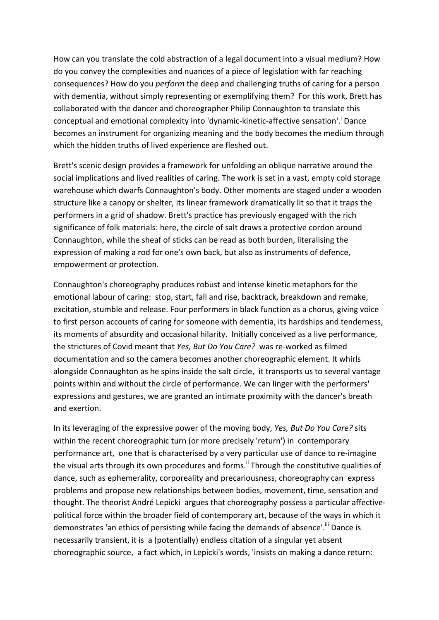How can you translate the cold abstraction of a legal document into a visual medium? How do you convey the complexities and nuances of a piece of legislation with far reaching consequences? How do you *perform* the deep and challenging truths of caring for a person with dementia, without simply representing or exemplifying them? For this work, Brett has collaborated with the dancer and choreographer Philip Connaughton to translate this conceptual and emotional complexity into 'dynamic-kinetic-affective sensation'.<sup>i</sup> Dance becomes an instrument for organizing meaning and the body becomes the medium through which the hidden truths of lived experience are fleshed out.

Brett's scenic design provides a framework for unfolding an oblique narrative around the social implications and lived realities of caring. The work is set in a vast, empty cold storage warehouse which dwarfs Connaughton's body. Other moments are staged under a wooden structure like a canopy or shelter, its linear framework dramatically lit so that it traps the performers in a grid of shadow. Brett's practice has previously engaged with the rich significance of folk materials: here, the circle of salt draws a protective cordon around Connaughton, while the sheaf of sticks can be read as both burden, literalising the expression of making a rod for one's own back, but also as instruments of defence, empowerment or protection.

Connaughton's choreography produces robust and intense kinetic metaphors for the emotional labour of caring: stop, start, fall and rise, backtrack, breakdown and remake, excitation, stumble and release. Four performers in black function as a chorus, giving voice to first person accounts of caring for someone with dementia, its hardships and tenderness, its moments of absurdity and occasional hilarity. Initially conceived as a live performance, the strictures of Covid meant that *Yes, But Do You Care?* was re-worked as filmed documentation and so the camera becomes another choreographic element. It whirls alongside Connaughton as he spins inside the salt circle, it transports us to several vantage points within and without the circle of performance. We can linger with the performers' expressions and gestures, we are granted an intimate proximity with the dancer's breath and exertion.

In its leveraging of the expressive power of the moving body, *Yes, But Do You Care?* sits within the recent choreographic turn (or more precisely 'return') in contemporary performance art, one that is characterised by a very particular use of dance to re-imagine the visual arts through its own procedures and forms.<sup>ii</sup> Through the constitutive qualities of dance, such as ephemerality, corporeality and precariousness, choreography can express problems and propose new relationships between bodies, movement, time, sensation and thought. The theorist André Lepicki argues that choreography possess a particular affectivepolitical force within the broader field of contemporary art, because of the ways in which it demonstrates 'an ethics of persisting while facing the demands of absence'.<sup>iii</sup> Dance is necessarily transient, it is a (potentially) endless citation of a singular yet absent choreographic source, a fact which, in Lepicki's words, 'insists on making a dance return: